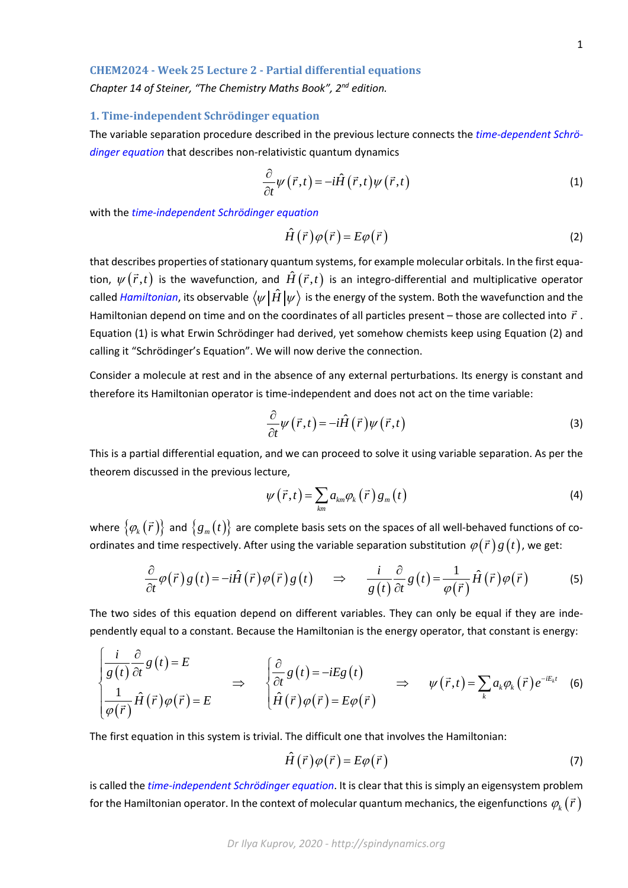## **CHEM2024 - Week 25 Lecture 2 - Partial differential equations**

*Chapter 14 of Steiner, "The Chemistry Maths Book", 2nd edition.*

## **1. Time-independent Schrödinger equation**

The variable separation procedure described in the previous lecture connects the *time-dependent Schrödinger equation* that describes non-relativistic quantum dynamics

$$
\frac{\partial}{\partial t}\psi(\vec{r},t) = -i\hat{H}(\vec{r},t)\psi(\vec{r},t)
$$
\n(1)

with the *time-independent Schrödinger equation*

$$
\hat{H}(\vec{r})\varphi(\vec{r}) = E\varphi(\vec{r})
$$
\n(2)

that describes properties of stationary quantum systems, for example molecular orbitals. In the first equation,  $\psi(\vec{r},t)$  is the wavefunction, and  $\hat{H}(\vec{r},t)$  is an integro-differential and multiplicative operator called *Hamiltonian*, its observable  $\langle \psi | \hat{H} | \psi \rangle$  is the energy of the system. Both the wavefunction and the Hamiltonian depend on time and on the coordinates of all particles present – those are collected into  $\vec{r}$ . Equation (1) is what Erwin Schrödinger had derived, yet somehow chemists keep using Equation (2) and calling it "Schrödinger's Equation". We will now derive the connection.

Consider a molecule at rest and in the absence of any external perturbations. Its energy is constant and therefore its Hamiltonian operator is time-independent and does not act on the time variable:

$$
\frac{\partial}{\partial t}\psi(\vec{r},t) = -i\hat{H}(\vec{r})\psi(\vec{r},t)
$$
\n(3)

This is a partial differential equation, and we can proceed to solve it using variable separation. As per the theorem discussed in the previous lecture,

$$
\psi\left(\vec{r},t\right) = \sum_{km} a_{km} \varphi_k\left(\vec{r}\right) g_m\left(t\right) \tag{4}
$$

where  $\{\varphi_k(\vec{r})\}$  and  $\{g_m(t)\}$  are complete basis sets on the spaces of all well-behaved functions of coordinates and time respectively. After using the variable separation substitution  $\varphi(\vec{r})g(t)$ , we get:

$$
\frac{\partial}{\partial t}\varphi(\vec{r})g(t) = -i\hat{H}(\vec{r})\varphi(\vec{r})g(t) \quad \Rightarrow \quad \frac{i}{g(t)}\frac{\partial}{\partial t}g(t) = \frac{1}{\varphi(\vec{r})}\hat{H}(\vec{r})\varphi(\vec{r}) \tag{5}
$$

The two sides of this equation depend on different variables. They can only be equal if they are independently equal to a constant. Because the Hamiltonian is the energy operator, that constant is energy:

$$
\begin{cases}\n\frac{i}{g(t)}\frac{\partial}{\partial t}g(t)=E \\
\frac{1}{\varphi(\vec{r})}\hat{H}(\vec{r})\varphi(\vec{r})=E\n\end{cases}\n\Rightarrow\n\begin{cases}\n\frac{\partial}{\partial t}g(t)=-iEg(t) \\
\hat{H}(\vec{r})\varphi(\vec{r})=E\varphi(\vec{r})\n\end{cases}\n\Rightarrow\n\psi(\vec{r},t)=\sum_{k}a_{k}\varphi_{k}(\vec{r})e^{-iE_{k}t}\n\tag{6}
$$

The first equation in this system is trivial. The difficult one that involves the Hamiltonian:

$$
\hat{H}(\vec{r})\varphi(\vec{r}) = E\varphi(\vec{r})\tag{7}
$$

is called the *time-independent Schrödinger equation*. It is clear that this is simply an eigensystem problem for the Hamiltonian operator. In the context of molecular quantum mechanics, the eigenfunctions  $\varphi_k(\vec{r})$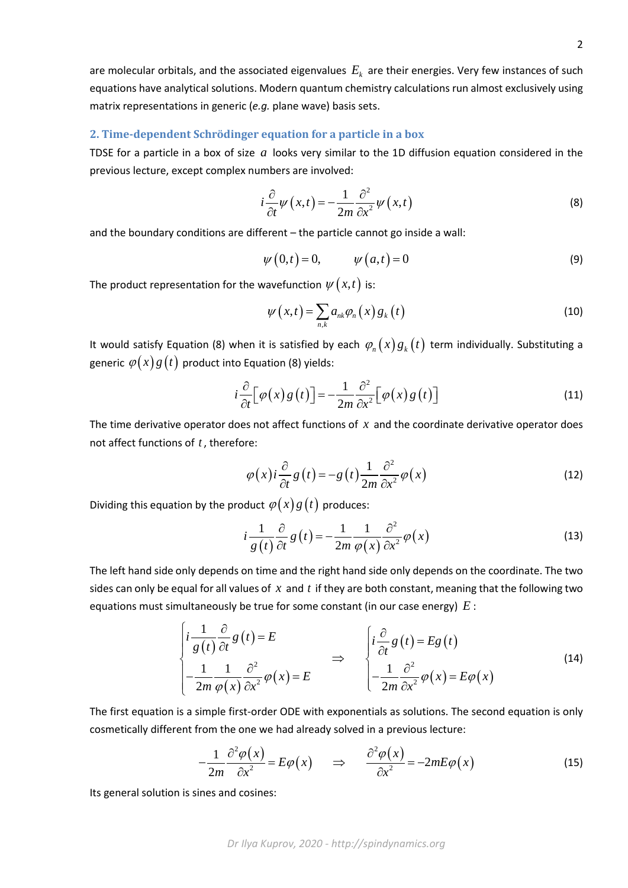are molecular orbitals, and the associated eigenvalues  $E_k$  are their energies. Very few instances of such equations have analytical solutions. Modern quantum chemistry calculations run almost exclusively using matrix representations in generic (*e.g.* plane wave) basis sets.

## **2. Time-dependent Schrödinger equation for a particle in a box**

TDSE for a particle in a box of size *a* looks very similar to the 1D diffusion equation considered in the previous lecture, except complex numbers are involved:

$$
i\frac{\partial}{\partial t}\psi(x,t) = -\frac{1}{2m}\frac{\partial^2}{\partial x^2}\psi(x,t)
$$
 (8)

and the boundary conditions are different – the particle cannot go inside a wall:

$$
\psi(0,t) = 0, \qquad \psi(a,t) = 0 \tag{9}
$$

The product representation for the wavefunction  $\psi(x,t)$  is:

$$
\psi(x,t) = \sum_{n,k} a_{nk} \varphi_n(x) g_k(t)
$$
\n(10)

It would satisfy Equation (8) when it is satisfied by each  $\varphi_n(x) g_k(t)$  term individually. Substituting a generic  $\varphi(x)g(t)$  product into Equation (8) yields:

$$
i\frac{\partial}{\partial t} \Big[\varphi(x) g\big(t\big)\Big] = -\frac{1}{2m} \frac{\partial^2}{\partial x^2} \Big[\varphi(x) g\big(t\big)\Big] \tag{11}
$$

The time derivative operator does not affect functions of *x* and the coordinate derivative operator does not affect functions of *t* , therefore:

$$
\varphi(x) i \frac{\partial}{\partial t} g(t) = -g(t) \frac{1}{2m} \frac{\partial^2}{\partial x^2} \varphi(x)
$$
\n(12)

Dividing this equation by the product  $\varphi(x)g(t)$  produces:

$$
i\frac{1}{g(t)}\frac{\partial}{\partial t}g(t) = -\frac{1}{2m}\frac{1}{\varphi(x)}\frac{\partial^2}{\partial x^2}\varphi(x)
$$
 (13)

The left hand side only depends on time and the right hand side only depends on the coordinate. The two sides can only be equal for all values of *x* and *t* if they are both constant, meaning that the following two equations must simultaneously be true for some constant (in our case energy) *E* :

$$
\begin{cases}\ni \frac{1}{g(t)} \frac{\partial}{\partial t} g(t) = E \\
-\frac{1}{2m} \frac{1}{\varphi(x)} \frac{\partial^2}{\partial x^2} \varphi(x) = E\n\end{cases}\n\Rightarrow\n\begin{cases}\ni \frac{\partial}{\partial t} g(t) = E g(t) \\
-\frac{1}{2m} \frac{\partial^2}{\partial x^2} \varphi(x) = E \varphi(x)\n\end{cases}
$$
\n(14)

The first equation is a simple first-order ODE with exponentials as solutions. The second equation is only cosmetically different from the one we had already solved in a previous lecture:

$$
-\frac{1}{2m}\frac{\partial^2 \varphi(x)}{\partial x^2} = E\varphi(x) \qquad \Rightarrow \qquad \frac{\partial^2 \varphi(x)}{\partial x^2} = -2mE\varphi(x) \tag{15}
$$

Its general solution is sines and cosines: